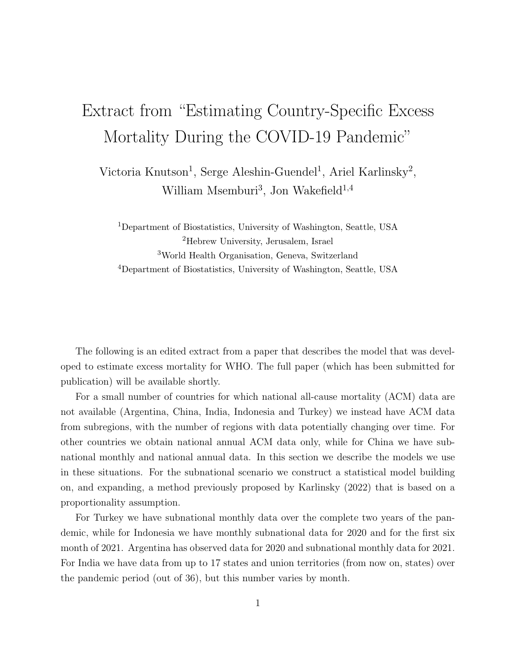## Extract from "Estimating Country-Specific Excess Mortality During the COVID-19 Pandemic"

Victoria Knutson<sup>1</sup>, Serge Aleshin-Guendel<sup>1</sup>, Ariel Karlinsky<sup>2</sup>, William Msemburi<sup>3</sup>, Jon Wakefield<sup>1,4</sup>

Department of Biostatistics, University of Washington, Seattle, USA Hebrew University, Jerusalem, Israel World Health Organisation, Geneva, Switzerland Department of Biostatistics, University of Washington, Seattle, USA

The following is an edited extract from a paper that describes the model that was developed to estimate excess mortality for WHO. The full paper (which has been submitted for publication) will be available shortly.

For a small number of countries for which national all-cause mortality (ACM) data are not available (Argentina, China, India, Indonesia and Turkey) we instead have ACM data from subregions, with the number of regions with data potentially changing over time. For other countries we obtain national annual ACM data only, while for China we have subnational monthly and national annual data. In this section we describe the models we use in these situations. For the subnational scenario we construct a statistical model building on, and expanding, a method previously proposed by Karlinsky (2022) that is based on a proportionality assumption.

For Turkey we have subnational monthly data over the complete two years of the pandemic, while for Indonesia we have monthly subnational data for 2020 and for the first six month of 2021. Argentina has observed data for 2020 and subnational monthly data for 2021. For India we have data from up to 17 states and union territories (from now on, states) over the pandemic period (out of 36), but this number varies by month.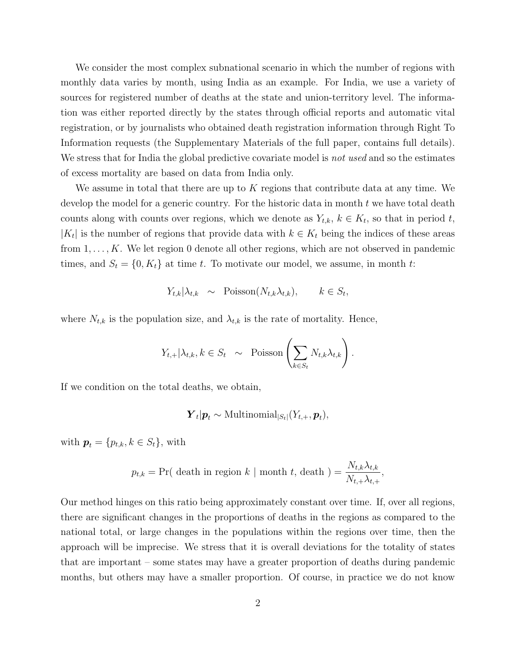We consider the most complex subnational scenario in which the number of regions with monthly data varies by month, using India as an example. For India, we use a variety of sources for registered number of deaths at the state and union-territory level. The information was either reported directly by the states through official reports and automatic vital registration, or by journalists who obtained death registration information through Right To Information requests (the Supplementary Materials of the full paper, contains full details). We stress that for India the global predictive covariate model is *not used* and so the estimates of excess mortality are based on data from India only.

We assume in total that there are up to K regions that contribute data at any time. We develop the model for a generic country. For the historic data in month t we have total death counts along with counts over regions, which we denote as  $Y_{t,k}, k \in K_t$ , so that in period t,  $|K_t|$  is the number of regions that provide data with  $k \in K_t$  being the indices of these areas from  $1, \ldots, K$ . We let region 0 denote all other regions, which are not observed in pandemic times, and  $S_t = \{0, K_t\}$  at time t. To motivate our model, we assume, in month t:

$$
Y_{t,k}|\lambda_{t,k} \sim \text{Poisson}(N_{t,k}\lambda_{t,k}), \qquad k \in S_t,
$$

where  $N_{t,k}$  is the population size, and  $\lambda_{t,k}$  is the rate of mortality. Hence,

$$
Y_{t,+}|\lambda_{t,k}, k \in S_t \sim \text{Poisson}\left(\sum_{k \in S_t} N_{t,k}\lambda_{t,k}\right).
$$

If we condition on the total deaths, we obtain,

$$
\boldsymbol{Y}_t | \boldsymbol{p}_t \sim \text{Multinomial}_{|S_t|}(Y_{t,+}, \boldsymbol{p}_t),
$$

with  $p_t = \{p_{t,k}, k \in S_t\}$ , with

$$
p_{t,k} = \Pr(\text{ death in region } k \mid \text{month } t, \text{ death }) = \frac{N_{t,k} \lambda_{t,k}}{N_{t,+} \lambda_{t,+}},
$$

Our method hinges on this ratio being approximately constant over time. If, over all regions, there are significant changes in the proportions of deaths in the regions as compared to the national total, or large changes in the populations within the regions over time, then the approach will be imprecise. We stress that it is overall deviations for the totality of states that are important – some states may have a greater proportion of deaths during pandemic months, but others may have a smaller proportion. Of course, in practice we do not know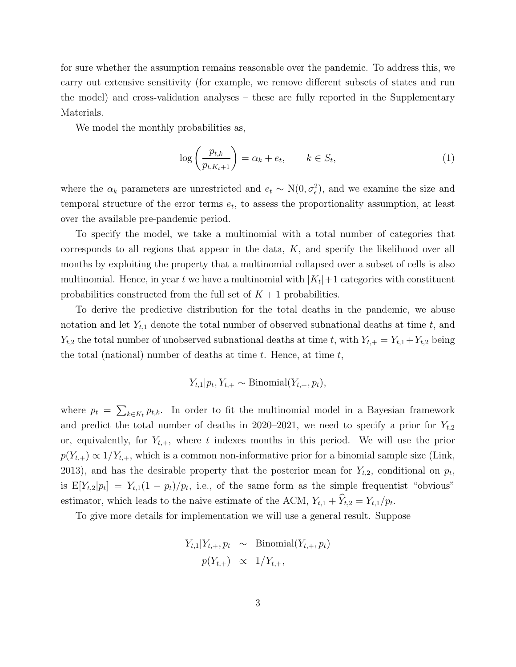for sure whether the assumption remains reasonable over the pandemic. To address this, we carry out extensive sensitivity (for example, we remove different subsets of states and run the model) and cross-validation analyses – these are fully reported in the Supplementary Materials.

We model the monthly probabilities as,

$$
\log\left(\frac{p_{t,k}}{p_{t,K_t+1}}\right) = \alpha_k + e_t, \qquad k \in S_t,
$$
\n(1)

where the  $\alpha_k$  parameters are unrestricted and  $e_t \sim N(0, \sigma_{\epsilon}^2)$ , and we examine the size and temporal structure of the error terms  $e_t$ , to assess the proportionality assumption, at least over the available pre-pandemic period.

To specify the model, we take a multinomial with a total number of categories that corresponds to all regions that appear in the data, K, and specify the likelihood over all months by exploiting the property that a multinomial collapsed over a subset of cells is also multinomial. Hence, in year t we have a multinomial with  $|K_t|+1$  categories with constituent probabilities constructed from the full set of  $K + 1$  probabilities.

To derive the predictive distribution for the total deaths in the pandemic, we abuse notation and let  $Y_{t,1}$  denote the total number of observed subnational deaths at time t, and  $Y_{t,2}$  the total number of unobserved subnational deaths at time t, with  $Y_{t,+} = Y_{t,1} + Y_{t,2}$  being the total (national) number of deaths at time  $t$ . Hence, at time  $t$ ,

$$
Y_{t,1}|p_t, Y_{t,+} \sim \text{Binomial}(Y_{t,+}, p_t),
$$

where  $p_t = \sum_{k \in K_t} p_{t,k}$ . In order to fit the multinomial model in a Bayesian framework and predict the total number of deaths in 2020–2021, we need to specify a prior for  $Y_{t,2}$ or, equivalently, for  $Y_{t,+}$ , where t indexes months in this period. We will use the prior  $p(Y_{t,+}) \propto 1/Y_{t,+}$ , which is a common non-informative prior for a binomial sample size (Link, 2013), and has the desirable property that the posterior mean for  $Y_{t,2}$ , conditional on  $p_t$ , is  $E[Y_{t,2}|p_t] = Y_{t,1}(1-p_t)/p_t$ , i.e., of the same form as the simple frequentist "obvious" estimator, which leads to the naive estimate of the ACM,  $Y_{t,1} + Y_{t,2} = Y_{t,1}/p_t$ .

To give more details for implementation we will use a general result. Suppose

$$
Y_{t,1}|Y_{t,+}, p_t \sim \text{Binomial}(Y_{t,+}, p_t)
$$

$$
p(Y_{t,+}) \propto 1/Y_{t,+},
$$